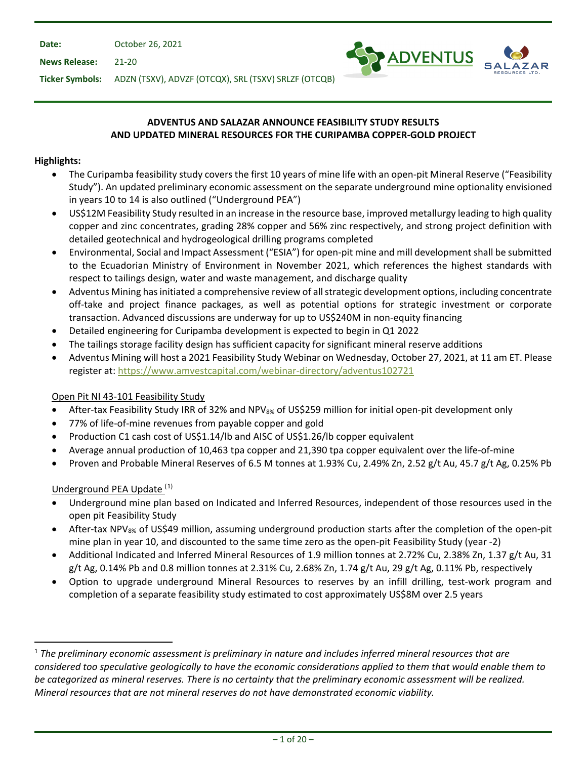**Date:** October 26, 2021

**News Release:** 21-20



**Ticker Symbols:** ADZN (TSXV), ADVZF (OTCQX), SRL (TSXV) SRLZF (OTCQB)

## **ADVENTUS AND SALAZAR ANNOUNCE FEASIBILITY STUDY RESULTS AND UPDATED MINERAL RESOURCES FOR THE CURIPAMBA COPPER-GOLD PROJECT**

## **Highlights:**

- The Curipamba feasibility study covers the first 10 years of mine life with an open-pit Mineral Reserve ("Feasibility Study"). An updated preliminary economic assessment on the separate underground mine optionality envisioned in years 10 to 14 is also outlined ("Underground PEA")
- US\$12M Feasibility Study resulted in an increase in the resource base, improved metallurgy leading to high quality copper and zinc concentrates, grading 28% copper and 56% zinc respectively, and strong project definition with detailed geotechnical and hydrogeological drilling programs completed
- Environmental, Social and Impact Assessment ("ESIA") for open-pit mine and mill development shall be submitted to the Ecuadorian Ministry of Environment in November 2021, which references the highest standards with respect to tailings design, water and waste management, and discharge quality
- Adventus Mining has initiated a comprehensive review of all strategic development options, including concentrate off-take and project finance packages, as well as potential options for strategic investment or corporate transaction. Advanced discussions are underway for up to US\$240M in non-equity financing
- Detailed engineering for Curipamba development is expected to begin in Q1 2022
- The tailings storage facility design has sufficient capacity for significant mineral reserve additions
- Adventus Mining will host a 2021 Feasibility Study Webinar on Wednesday, October 27, 2021, at 11 am ET. Please register at:<https://www.amvestcapital.com/webinar-directory/adventus102721>

# Open Pit NI 43-101 Feasibility Study

- After-tax Feasibility Study IRR of 32% and NPV<sub>8%</sub> of US\$259 million for initial open-pit development only
- 77% of life-of-mine revenues from payable copper and gold
- Production C1 cash cost of US\$1.14/lb and AISC of US\$1.26/lb copper equivalent
- Average annual production of 10,463 tpa copper and 21,390 tpa copper equivalent over the life-of-mine
- Proven and Probable Mineral Reserves of 6.5 M tonnes at 1.93% Cu, 2.49% Zn, 2.52 g/t Au, 45.7 g/t Ag, 0.25% Pb

# Underground PEA Update<sup>([1](#page-0-0))</sup>

- Underground mine plan based on Indicated and Inferred Resources, independent of those resources used in the open pit Feasibility Study
- After-tax NPV<sub>8%</sub> of US\$49 million, assuming underground production starts after the completion of the open-pit mine plan in year 10, and discounted to the same time zero as the open-pit Feasibility Study (year -2)
- Additional Indicated and Inferred Mineral Resources of 1.9 million tonnes at 2.72% Cu, 2.38% Zn, 1.37 g/t Au, 31 g/t Ag, 0.14% Pb and 0.8 million tonnes at 2.31% Cu, 2.68% Zn, 1.74 g/t Au, 29 g/t Ag, 0.11% Pb, respectively
- Option to upgrade underground Mineral Resources to reserves by an infill drilling, test-work program and completion of a separate feasibility study estimated to cost approximately US\$8M over 2.5 years

<span id="page-0-0"></span><sup>1</sup> *The preliminary economic assessment is preliminary in nature and includes inferred mineral resources that are considered too speculative geologically to have the economic considerations applied to them that would enable them to be categorized as mineral reserves. There is no certainty that the preliminary economic assessment will be realized. Mineral resources that are not mineral reserves do not have demonstrated economic viability.*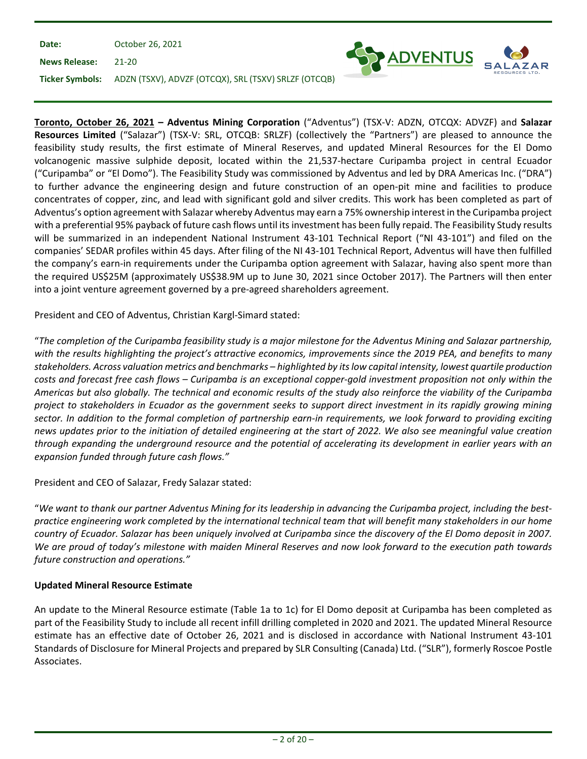| Date:               | October 26, 2021                                                     |                   |
|---------------------|----------------------------------------------------------------------|-------------------|
| News Release: 21-20 |                                                                      | <b>SPADVENTUS</b> |
|                     | Ticker Symbols: ADZN (TSXV), ADVZF (OTCQX), SRL (TSXV) SRLZF (OTCQB) |                   |

**Toronto, October 26, 2021 – Adventus Mining Corporation** ("Adventus") (TSX-V: ADZN, OTCQX: ADVZF) and **Salazar Resources Limited** ("Salazar") (TSX-V: SRL, OTCQB: SRLZF) (collectively the "Partners") are pleased to announce the feasibility study results, the first estimate of Mineral Reserves, and updated Mineral Resources for the El Domo volcanogenic massive sulphide deposit, located within the 21,537-hectare Curipamba project in central Ecuador ("Curipamba" or "El Domo"). The Feasibility Study was commissioned by Adventus and led by DRA Americas Inc. ("DRA") to further advance the engineering design and future construction of an open-pit mine and facilities to produce concentrates of copper, zinc, and lead with significant gold and silver credits. This work has been completed as part of Adventus's option agreement with Salazar whereby Adventus may earn a 75% ownership interest in the Curipamba project with a preferential 95% payback of future cash flows until its investment has been fully repaid. The Feasibility Study results will be summarized in an independent National Instrument 43-101 Technical Report ("NI 43-101") and filed on the companies' SEDAR profiles within 45 days. After filing of the NI 43-101 Technical Report, Adventus will have then fulfilled the company's earn-in requirements under the Curipamba option agreement with Salazar, having also spent more than the required US\$25M (approximately US\$38.9M up to June 30, 2021 since October 2017). The Partners will then enter into a joint venture agreement governed by a pre-agreed shareholders agreement.

President and CEO of Adventus, Christian Kargl-Simard stated:

"*The completion of the Curipamba feasibility study is a major milestone for the Adventus Mining and Salazar partnership, with the results highlighting the project's attractive economics, improvements since the 2019 PEA, and benefits to many stakeholders. Across valuation metrics and benchmarks – highlighted by its low capital intensity, lowest quartile production costs and forecast free cash flows – Curipamba is an exceptional copper-gold investment proposition not only within the Americas but also globally. The technical and economic results of the study also reinforce the viability of the Curipamba project to stakeholders in Ecuador as the government seeks to support direct investment in its rapidly growing mining sector. In addition to the formal completion of partnership earn-in requirements, we look forward to providing exciting news updates prior to the initiation of detailed engineering at the start of 2022. We also see meaningful value creation through expanding the underground resource and the potential of accelerating its development in earlier years with an expansion funded through future cash flows."*

President and CEO of Salazar, Fredy Salazar stated:

"*We want to thank our partner Adventus Mining for its leadership in advancing the Curipamba project, including the bestpractice engineering work completed by the international technical team that will benefit many stakeholders in our home country of Ecuador. Salazar has been uniquely involved at Curipamba since the discovery of the El Domo deposit in 2007. We are proud of today's milestone with maiden Mineral Reserves and now look forward to the execution path towards future construction and operations."*

# **Updated Mineral Resource Estimate**

An update to the Mineral Resource estimate (Table 1a to 1c) for El Domo deposit at Curipamba has been completed as part of the Feasibility Study to include all recent infill drilling completed in 2020 and 2021. The updated Mineral Resource estimate has an effective date of October 26, 2021 and is disclosed in accordance with National Instrument 43-101 Standards of Disclosure for Mineral Projects and prepared by SLR Consulting (Canada) Ltd. ("SLR"), formerly Roscoe Postle Associates.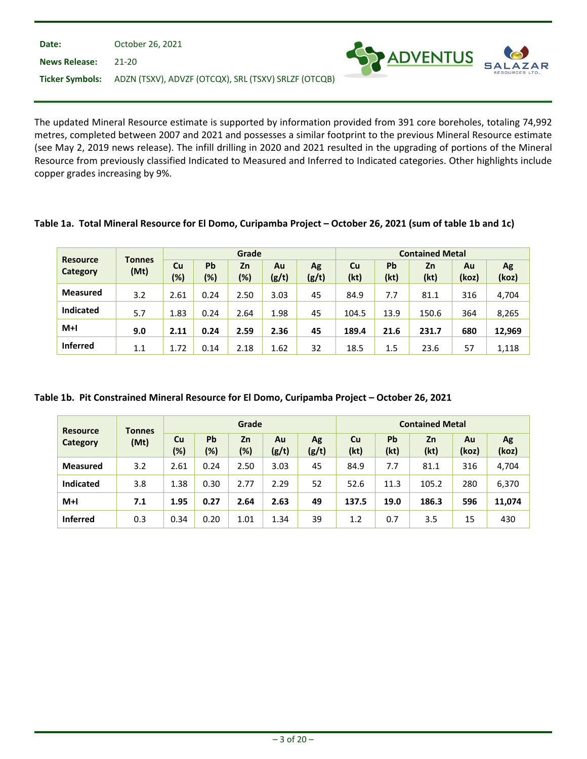| Date:                  | October 26, 2021                                     |                     |
|------------------------|------------------------------------------------------|---------------------|
| <b>News Release:</b>   | 21-20                                                | <b>SEX ADVENTUS</b> |
| <b>Ticker Symbols:</b> | ADZN (TSXV), ADVZF (OTCQX), SRL (TSXV) SRLZF (OTCQB) |                     |

The updated Mineral Resource estimate is supported by information provided from 391 core boreholes, totaling 74,992 metres, completed between 2007 and 2021 and possesses a similar footprint to the previous Mineral Resource estimate (see May 2, 2019 news release). The infill drilling in 2020 and 2021 resulted in the upgrading of portions of the Mineral Resource from previously classified Indicated to Measured and Inferred to Indicated categories. Other highlights include copper grades increasing by 9%.

SA

|                             |                       | Grade        |           |           |             |             | <b>Contained Metal</b> |            |            |             |             |
|-----------------------------|-----------------------|--------------|-----------|-----------|-------------|-------------|------------------------|------------|------------|-------------|-------------|
| <b>Resource</b><br>Category | <b>Tonnes</b><br>(Mt) | Cu<br>$(\%)$ | Pb<br>(%) | Zn<br>(%) | Au<br>(g/t) | Ag<br>(g/t) | Cu<br>(kt)             | Pb<br>(kt) | Zn<br>(kt) | Au<br>(koz) | Ag<br>(koz) |
| <b>Measured</b>             | 3.2                   | 2.61         | 0.24      | 2.50      | 3.03        | 45          | 84.9                   | 7.7        | 81.1       | 316         | 4,704       |
| <b>Indicated</b>            | 5.7                   | 1.83         | 0.24      | 2.64      | 1.98        | 45          | 104.5                  | 13.9       | 150.6      | 364         | 8,265       |
| $M+I$                       | 9.0                   | 2.11         | 0.24      | 2.59      | 2.36        | 45          | 189.4                  | 21.6       | 231.7      | 680         | 12,969      |
| <b>Inferred</b>             | 1.1                   | 1.72         | 0.14      | 2.18      | 1.62        | 32          | 18.5                   | 1.5        | 23.6       | 57          | 1,118       |

**Table 1a. Total Mineral Resource for El Domo, Curipamba Project – October 26, 2021 (sum of table 1b and 1c)**

| Table 1b. Pit Constrained Mineral Resource for El Domo, Curipamba Project - October 26, 2021 |  |  |  |  |  |  |
|----------------------------------------------------------------------------------------------|--|--|--|--|--|--|
|----------------------------------------------------------------------------------------------|--|--|--|--|--|--|

| <b>Resource</b>  | <b>Tonnes</b> | Grade     |           |           |             |             | <b>Contained Metal</b> |            |            |             |             |
|------------------|---------------|-----------|-----------|-----------|-------------|-------------|------------------------|------------|------------|-------------|-------------|
| <b>Category</b>  | (Mt)          | Cu<br>(%) | Pb<br>(%) | Zn<br>(%) | Au<br>(g/t) | Ag<br>(g/t) | Cu<br>(kt)             | Pb<br>(kt) | Zn<br>(kt) | Au<br>(koz) | Ag<br>(koz) |
| <b>Measured</b>  | 3.2           | 2.61      | 0.24      | 2.50      | 3.03        | 45          | 84.9                   | 7.7        | 81.1       | 316         | 4,704       |
| <b>Indicated</b> | 3.8           | 1.38      | 0.30      | 2.77      | 2.29        | 52          | 52.6                   | 11.3       | 105.2      | 280         | 6,370       |
| $M+1$            | 7.1           | 1.95      | 0.27      | 2.64      | 2.63        | 49          | 137.5                  | 19.0       | 186.3      | 596         | 11,074      |
| <b>Inferred</b>  | 0.3           | 0.34      | 0.20      | 1.01      | 1.34        | 39          | 1.2                    | 0.7        | 3.5        | 15          | 430         |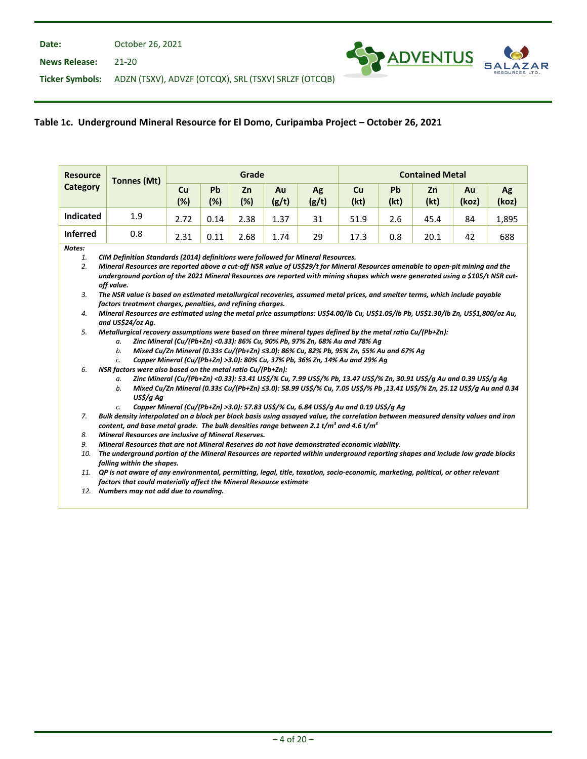**News Release:** 21-20



**Ticker Symbols:** ADZN (TSXV), ADVZF (OTCQX), SRL (TSXV) SRLZF (OTCQB)

# **Table 1c. Underground Mineral Resource for El Domo, Curipamba Project – October 26, 2021**

| <b>Resource</b>                            | <b>Tonnes (Mt)</b>                                                                                                                                                                                                                                                                                                                                                                                                                                                                                                                                                                                                                                                                                                                                                                                                                                                                                                                                                                                                                                                                                                                                                                   |           |           | Grade     |             |                                                                                                                                                                                                                                                                                                                                          | <b>Contained Metal</b> |            |            |             |             |  |
|--------------------------------------------|--------------------------------------------------------------------------------------------------------------------------------------------------------------------------------------------------------------------------------------------------------------------------------------------------------------------------------------------------------------------------------------------------------------------------------------------------------------------------------------------------------------------------------------------------------------------------------------------------------------------------------------------------------------------------------------------------------------------------------------------------------------------------------------------------------------------------------------------------------------------------------------------------------------------------------------------------------------------------------------------------------------------------------------------------------------------------------------------------------------------------------------------------------------------------------------|-----------|-----------|-----------|-------------|------------------------------------------------------------------------------------------------------------------------------------------------------------------------------------------------------------------------------------------------------------------------------------------------------------------------------------------|------------------------|------------|------------|-------------|-------------|--|
| Category                                   |                                                                                                                                                                                                                                                                                                                                                                                                                                                                                                                                                                                                                                                                                                                                                                                                                                                                                                                                                                                                                                                                                                                                                                                      | Cu<br>(%) | Pb<br>(%) | Zn<br>(%) | Au<br>(g/t) | Ag<br>(g/t)                                                                                                                                                                                                                                                                                                                              | Cu<br>(kt)             | Pb<br>(kt) | Zn<br>(kt) | Au<br>(koz) | Ag<br>(koz) |  |
| <b>Indicated</b>                           | 1.9                                                                                                                                                                                                                                                                                                                                                                                                                                                                                                                                                                                                                                                                                                                                                                                                                                                                                                                                                                                                                                                                                                                                                                                  | 2.72      | 0.14      | 2.38      | 1.37        | 31                                                                                                                                                                                                                                                                                                                                       | 51.9                   | 2.6        | 45.4       | 84          | 1,895       |  |
| <b>Inferred</b>                            | 0.8                                                                                                                                                                                                                                                                                                                                                                                                                                                                                                                                                                                                                                                                                                                                                                                                                                                                                                                                                                                                                                                                                                                                                                                  | 2.31      | 0.11      | 2.68      | 1.74        | 29                                                                                                                                                                                                                                                                                                                                       | 17.3                   | 0.8        | 20.1       | 42          | 688         |  |
| Notes:<br>1.<br>2.<br>3.<br>4.<br>5.<br>6. | CIM Definition Standards (2014) definitions were followed for Mineral Resources.<br>Mineral Resources are reported above a cut-off NSR value of US\$29/t for Mineral Resources amenable to open-pit mining and the<br>underground portion of the 2021 Mineral Resources are reported with mining shapes which were generated using a \$105/t NSR cut-<br>off value.<br>The NSR value is based on estimated metallurgical recoveries, assumed metal prices, and smelter terms, which include payable<br>factors treatment charges, penalties, and refining charges.<br>Mineral Resources are estimated using the metal price assumptions: US\$4.00/lb Cu, US\$1.05/lb Pb, US\$1.30/lb Zn, US\$1,800/oz Au,<br>and US\$24/oz Ag.<br>Metallurgical recovery assumptions were based on three mineral types defined by the metal ratio Cu/(Pb+Zn):<br>Zinc Mineral (Cu/(Pb+Zn) <0.33): 86% Cu, 90% Pb, 97% Zn, 68% Au and 78% Ag<br>а.<br>b.<br>Mixed Cu/Zn Mineral (0.33≤ Cu/(Pb+Zn) ≤3.0): 86% Cu, 82% Pb, 95% Zn, 55% Au and 67% Aq<br>Copper Mineral (Cu/(Pb+Zn) >3.0): 80% Cu, 37% Pb, 36% Zn, 14% Au and 29% Ag<br>c.<br>NSR factors were also based on the metal ratio Cu/(Pb+Zn): |           |           |           |             |                                                                                                                                                                                                                                                                                                                                          |                        |            |            |             |             |  |
|                                            | а.<br>b.<br>US\$/g Ag<br>c.                                                                                                                                                                                                                                                                                                                                                                                                                                                                                                                                                                                                                                                                                                                                                                                                                                                                                                                                                                                                                                                                                                                                                          |           |           |           |             | Zinc Mineral (Cu/(Pb+Zn) <0.33): 53.41 US\$/% Cu, 7.99 US\$/% Pb, 13.47 US\$/% Zn, 30.91 US\$/g Au and 0.39 US\$/g Ag<br>Mixed Cu/Zn Mineral (0.33≤ Cu/(Pb+Zn) ≤3.0): 58.99 US\$/% Cu, 7.05 US\$/% Pb ,13.41 US\$/% Zn, 25.12 US\$/q Au and 0.34<br>Copper Mineral (Cu/(Pb+Zn) >3.0): 57.83 US\$/% Cu, 6.84 US\$/g Au and 0.19 US\$/g Ag |                        |            |            |             |             |  |
| 7.                                         | Bulk density interpolated on a block per block basis using assayed value, the correlation between measured density values and iron<br>content, and base metal grade. The bulk densities range between 2.1 t/m <sup>3</sup> and 4.6 t/m <sup>3</sup>                                                                                                                                                                                                                                                                                                                                                                                                                                                                                                                                                                                                                                                                                                                                                                                                                                                                                                                                  |           |           |           |             |                                                                                                                                                                                                                                                                                                                                          |                        |            |            |             |             |  |
| 8.                                         | Mineral Resources are inclusive of Mineral Reserves.                                                                                                                                                                                                                                                                                                                                                                                                                                                                                                                                                                                                                                                                                                                                                                                                                                                                                                                                                                                                                                                                                                                                 |           |           |           |             |                                                                                                                                                                                                                                                                                                                                          |                        |            |            |             |             |  |
| 9.                                         | Mineral Resources that are not Mineral Reserves do not have demonstrated economic viability.                                                                                                                                                                                                                                                                                                                                                                                                                                                                                                                                                                                                                                                                                                                                                                                                                                                                                                                                                                                                                                                                                         |           |           |           |             |                                                                                                                                                                                                                                                                                                                                          |                        |            |            |             |             |  |
| 10.                                        | The underground portion of the Mineral Resources are reported within underground reporting shapes and include low grade blocks<br>falling within the shapes.                                                                                                                                                                                                                                                                                                                                                                                                                                                                                                                                                                                                                                                                                                                                                                                                                                                                                                                                                                                                                         |           |           |           |             |                                                                                                                                                                                                                                                                                                                                          |                        |            |            |             |             |  |
|                                            | 11. QP is not aware of any environmental, permitting, legal, title, taxation, socio-economic, marketing, political, or other relevant                                                                                                                                                                                                                                                                                                                                                                                                                                                                                                                                                                                                                                                                                                                                                                                                                                                                                                                                                                                                                                                |           |           |           |             |                                                                                                                                                                                                                                                                                                                                          |                        |            |            |             |             |  |
|                                            | factors that could materially affect the Mineral Resource estimate                                                                                                                                                                                                                                                                                                                                                                                                                                                                                                                                                                                                                                                                                                                                                                                                                                                                                                                                                                                                                                                                                                                   |           |           |           |             |                                                                                                                                                                                                                                                                                                                                          |                        |            |            |             |             |  |
|                                            | 12. Numbers may not add due to rounding.                                                                                                                                                                                                                                                                                                                                                                                                                                                                                                                                                                                                                                                                                                                                                                                                                                                                                                                                                                                                                                                                                                                                             |           |           |           |             |                                                                                                                                                                                                                                                                                                                                          |                        |            |            |             |             |  |
|                                            |                                                                                                                                                                                                                                                                                                                                                                                                                                                                                                                                                                                                                                                                                                                                                                                                                                                                                                                                                                                                                                                                                                                                                                                      |           |           |           |             |                                                                                                                                                                                                                                                                                                                                          |                        |            |            |             |             |  |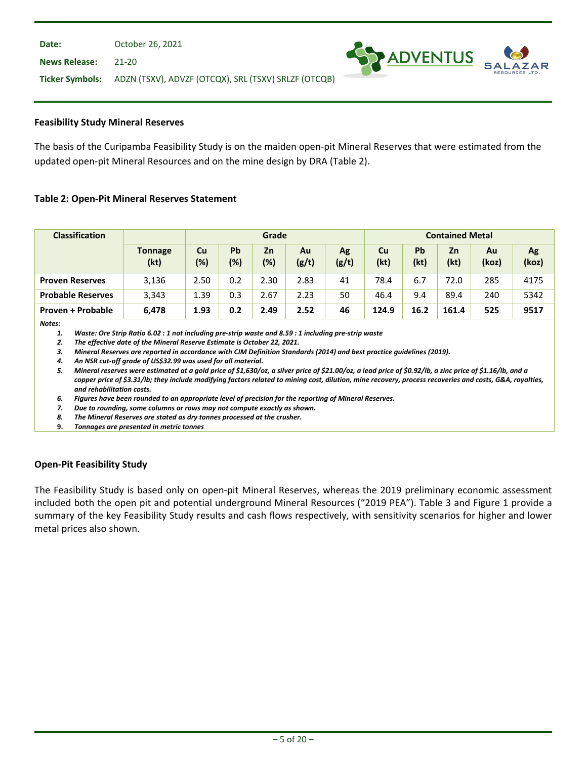#### **Feasibility Study Mineral Reserves**

The basis of the Curipamba Feasibility Study is on the maiden open-pit Mineral Reserves that were estimated from the updated open-pit Mineral Resources and on the mine design by DRA (Table 2).

**SY ADVENTUS** 

#### **Table 2: Open-Pit Mineral Reserves Statement**

| <b>Classification</b>    |                        | Grade     |           |              |             |             | <b>Contained Metal</b> |            |            |             |             |
|--------------------------|------------------------|-----------|-----------|--------------|-------------|-------------|------------------------|------------|------------|-------------|-------------|
|                          | <b>Tonnage</b><br>(kt) | Cu<br>(%) | Pb<br>(%) | Zn<br>$(\%)$ | Au<br>(g/t) | Ag<br>(g/t) | <b>Cu</b><br>(kt)      | Pb<br>(kt) | Zn<br>(kt) | Au<br>(koz) | Ag<br>(koz) |
| <b>Proven Reserves</b>   | 3,136                  | 2.50      | 0.2       | 2.30         | 2.83        | 41          | 78.4                   | 6.7        | 72.0       | 285         | 4175        |
| <b>Probable Reserves</b> | 3,343                  | 1.39      | 0.3       | 2.67         | 2.23        | 50          | 46.4                   | 9.4        | 89.4       | 240         | 5342        |
| Proven + Probable        | 6,478                  | 1.93      | 0.2       | 2.49         | 2.52        | 46          | 124.9                  | 16.2       | 161.4      | 525         | 9517        |

*Notes:*

*1. Waste: Ore Strip Ratio 6.02 : 1 not including pre-strip waste and 8.59 : 1 including pre-strip waste*

*2. The effective date of the Mineral Reserve Estimate is October 22, 2021.*

*3. Mineral Reserves are reported in accordance with CIM Definition Standards (2014) and best practice guidelines (2019).*

*4. An NSR cut-off grade of US\$32.99 was used for all material.*

*5. Mineral reserves were estimated at a gold price of \$1,630/oz, a silver price of \$21.00/oz, a lead price of \$0.92/lb, a zinc price of \$1.16/lb, and a copper price of \$3.31/lb; they include modifying factors related to mining cost, dilution, mine recovery, process recoveries and costs, G&A, royalties, and rehabilitation costs.*

*6. Figures have been rounded to an appropriate level of precision for the reporting of Mineral Reserves.*

*7. Due to rounding, some columns or rows may not compute exactly as shown.*

*8. The Mineral Reserves are stated as dry tonnes processed at the crusher.*

**9.** *Tonnages are presented in metric tonnes*

## **Open-Pit Feasibility Study**

The Feasibility Study is based only on open-pit Mineral Reserves, whereas the 2019 preliminary economic assessment included both the open pit and potential underground Mineral Resources ("2019 PEA"). Table 3 and Figure 1 provide a summary of the key Feasibility Study results and cash flows respectively, with sensitivity scenarios for higher and lower metal prices also shown.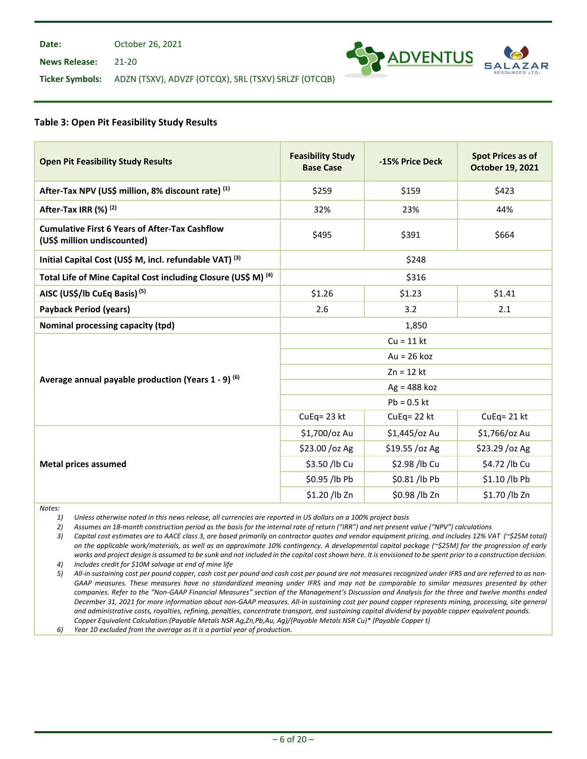**Date:** October 26, 2021

**News Release:** 21-20



**Ticker Symbols:** ADZN (TSXV), ADVZF (OTCQX), SRL (TSXV) SRLZF (OTCQB)

#### **Table 3: Open Pit Feasibility Study Results**

| <b>Open Pit Feasibility Study Results</b>                                            | <b>Feasibility Study</b><br><b>Base Case</b> | -15% Price Deck | <b>Spot Prices as of</b><br>October 19, 2021 |  |  |  |
|--------------------------------------------------------------------------------------|----------------------------------------------|-----------------|----------------------------------------------|--|--|--|
| After-Tax NPV (US\$ million, 8% discount rate) (1)                                   | \$259                                        | \$159           | \$423                                        |  |  |  |
| After-Tax IRR (%) <sup>(2)</sup>                                                     | 32%                                          | 23%             | 44%                                          |  |  |  |
| <b>Cumulative First 6 Years of After-Tax Cashflow</b><br>(US\$ million undiscounted) | \$495<br>\$391                               |                 | \$664                                        |  |  |  |
| Initial Capital Cost (US\$ M, incl. refundable VAT) (3)                              |                                              | \$248           |                                              |  |  |  |
| Total Life of Mine Capital Cost including Closure (US\$ M) <sup>(4)</sup>            |                                              | \$316           |                                              |  |  |  |
| AISC (US\$/lb CuEq Basis) <sup>(5)</sup>                                             | \$1.26                                       | \$1.23          | \$1.41                                       |  |  |  |
| <b>Payback Period (years)</b>                                                        | 2.6                                          | 3.2             | 2.1                                          |  |  |  |
| Nominal processing capacity (tpd)                                                    | 1,850                                        |                 |                                              |  |  |  |
|                                                                                      | $Cu = 11$ kt                                 |                 |                                              |  |  |  |
|                                                                                      | $Au = 26 koz$                                |                 |                                              |  |  |  |
| Average annual payable production (Years 1 - 9) <sup>(6)</sup>                       | $Zn = 12$ kt                                 |                 |                                              |  |  |  |
|                                                                                      | $Ag = 488$ koz                               |                 |                                              |  |  |  |
|                                                                                      |                                              | $Pb = 0.5$ kt   |                                              |  |  |  |
|                                                                                      | CuEq= 23 kt                                  | $CuEq = 22 kt$  | CuEq= 21 kt                                  |  |  |  |
|                                                                                      | \$1,700/oz Au                                | \$1,445/oz Au   | \$1,766/oz Au                                |  |  |  |
|                                                                                      | \$23.00 /oz Ag                               | \$19.55 /oz Ag  | \$23.29 / oz Ag                              |  |  |  |
| <b>Metal prices assumed</b>                                                          | \$3.50 /lb Cu                                | \$2.98 /lb Cu   | \$4.72 /lb Cu                                |  |  |  |
|                                                                                      | \$0.95 /lb Pb                                | \$0.81 /lb Pb   | \$1.10 /lb Pb                                |  |  |  |
|                                                                                      | \$1.20 /lb Zn                                | \$0.98 /lb Zn   | \$1.70 /lb Zn                                |  |  |  |

*Notes:*

*1) Unless otherwise noted in this news release, all currencies are reported in US dollars on a 100% project basis*

*2) Assumes an 18-month construction period as the basis for the internal rate of return ("IRR") and net present value ("NPV") calculations*

*3) Capital cost estimates are to AACE class 3, are based primarily on contractor quotes and vendor equipment pricing, and includes 12% VAT (~\$25M total) on the applicable work/materials, as well as an approximate 10% contingency. A developmental capital package (~\$25M) for the progression of early works and project design is assumed to be sunk and not included in the capital costshown here. It is envisioned to be spent prior to a construction decision.*

*4) Includes credit for \$10M salvage at end of mine life*

*5) All-in sustaining cost per pound copper, cash cost per pound and cash cost per pound are not measures recognized under IFRS and are referred to as non-GAAP measures. These measures have no standardized meaning under IFRS and may not be comparable to similar measures presented by other companies. Refer to the "Non-GAAP Financial Measures" section of the Management's Discussion and Analysis for the three and twelve months ended December 31, 2021 for more information about non-GAAP measures. All-in sustaining cost per pound copper represents mining, processing, site general and administrative costs, royalties, refining, penalties, concentrate transport, and sustaining capital dividend by payable copper equivalent pounds. Copper Equivalent Calculation:(Payable Metals NSR Ag,Zn,Pb,Au, Ag)/(Payable Metals NSR Cu)\* (Payable Copper t)*

*6) Year 10 excluded from the average as it is a partial year of production.*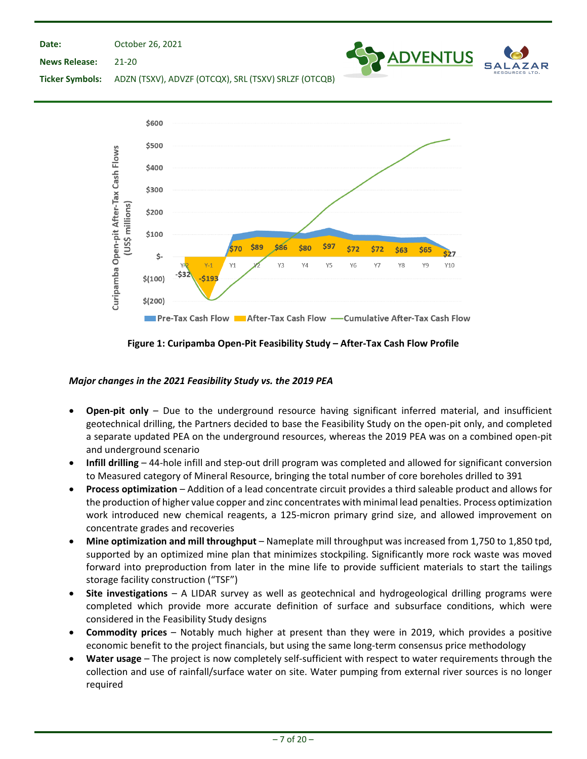**Date:**

October 26, 2021



**News Release:** 21-20

**Ticker Symbols:** ADZN (TSXV), ADVZF (OTCQX), SRL (TSXV) SRLZF (OTCQB)



**Figure 1: Curipamba Open-Pit Feasibility Study – After-Tax Cash Flow Profile**

# *Major changes in the 2021 Feasibility Study vs. the 2019 PEA*

- **Open-pit only**  Due to the underground resource having significant inferred material, and insufficient geotechnical drilling, the Partners decided to base the Feasibility Study on the open-pit only, and completed a separate updated PEA on the underground resources, whereas the 2019 PEA was on a combined open-pit and underground scenario
- **Infill drilling** 44-hole infill and step-out drill program was completed and allowed for significant conversion to Measured category of Mineral Resource, bringing the total number of core boreholes drilled to 391
- **Process optimization** Addition of a lead concentrate circuit provides a third saleable product and allows for the production of higher value copper and zinc concentrates with minimal lead penalties. Process optimization work introduced new chemical reagents, a 125-micron primary grind size, and allowed improvement on concentrate grades and recoveries
- **Mine optimization and mill throughput** Nameplate mill throughput was increased from 1,750 to 1,850 tpd, supported by an optimized mine plan that minimizes stockpiling. Significantly more rock waste was moved forward into preproduction from later in the mine life to provide sufficient materials to start the tailings storage facility construction ("TSF")
- **Site investigations** A LIDAR survey as well as geotechnical and hydrogeological drilling programs were completed which provide more accurate definition of surface and subsurface conditions, which were considered in the Feasibility Study designs
- **Commodity prices** Notably much higher at present than they were in 2019, which provides a positive economic benefit to the project financials, but using the same long-term consensus price methodology
- **Water usage** The project is now completely self-sufficient with respect to water requirements through the collection and use of rainfall/surface water on site. Water pumping from external river sources is no longer required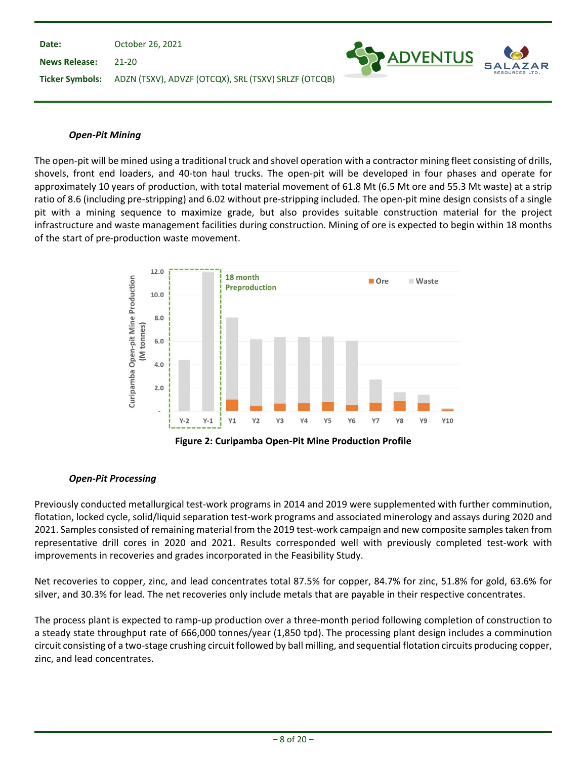

## *Open-Pit Mining*

The open-pit will be mined using a traditional truck and shovel operation with a contractor mining fleet consisting of drills, shovels, front end loaders, and 40-ton haul trucks. The open-pit will be developed in four phases and operate for approximately 10 years of production, with total material movement of 61.8 Mt (6.5 Mt ore and 55.3 Mt waste) at a strip ratio of 8.6 (including pre-stripping) and 6.02 without pre-stripping included. The open-pit mine design consists of a single pit with a mining sequence to maximize grade, but also provides suitable construction material for the project infrastructure and waste management facilities during construction. Mining of ore is expected to begin within 18 months of the start of pre-production waste movement.



## *Open-Pit Processing*

Previously conducted metallurgical test-work programs in 2014 and 2019 were supplemented with further comminution, flotation, locked cycle, solid/liquid separation test-work programs and associated minerology and assays during 2020 and 2021. Samples consisted of remaining material from the 2019 test-work campaign and new composite samples taken from representative drill cores in 2020 and 2021. Results corresponded well with previously completed test-work with improvements in recoveries and grades incorporated in the Feasibility Study.

Net recoveries to copper, zinc, and lead concentrates total 87.5% for copper, 84.7% for zinc, 51.8% for gold, 63.6% for silver, and 30.3% for lead. The net recoveries only include metals that are payable in their respective concentrates.

The process plant is expected to ramp-up production over a three-month period following completion of construction to a steady state throughput rate of 666,000 tonnes/year (1,850 tpd). The processing plant design includes a comminution circuit consisting of a two-stage crushing circuit followed by ball milling, and sequential flotation circuits producing copper, zinc, and lead concentrates.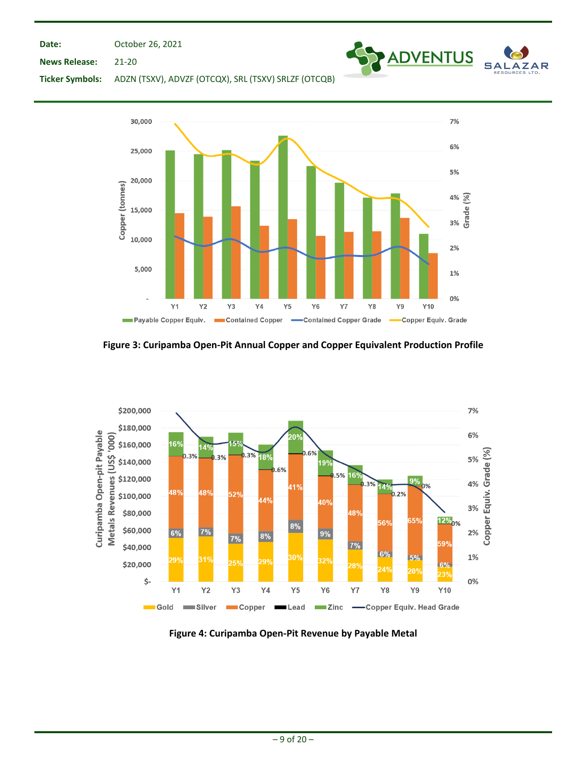**Date:**

October 26, 2021

ADVENTUS SA

AR

**News Release:** 21-20





**Figure 3: Curipamba Open-Pit Annual Copper and Copper Equivalent Production Profile**



**Figure 4: Curipamba Open-Pit Revenue by Payable Metal**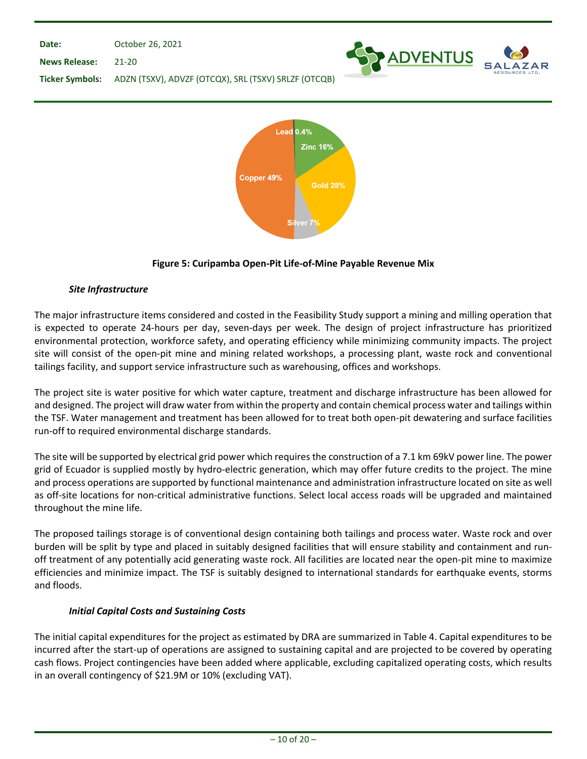



# **Figure 5: Curipamba Open-Pit Life-of-Mine Payable Revenue Mix**

## *Site Infrastructure*

The major infrastructure items considered and costed in the Feasibility Study support a mining and milling operation that is expected to operate 24-hours per day, seven-days per week. The design of project infrastructure has prioritized environmental protection, workforce safety, and operating efficiency while minimizing community impacts. The project site will consist of the open-pit mine and mining related workshops, a processing plant, waste rock and conventional tailings facility, and support service infrastructure such as warehousing, offices and workshops.

The project site is water positive for which water capture, treatment and discharge infrastructure has been allowed for and designed. The project will draw water from within the property and contain chemical process water and tailings within the TSF. Water management and treatment has been allowed for to treat both open-pit dewatering and surface facilities run-off to required environmental discharge standards.

The site will be supported by electrical grid power which requires the construction of a 7.1 km 69kV power line. The power grid of Ecuador is supplied mostly by hydro-electric generation, which may offer future credits to the project. The mine and process operations are supported by functional maintenance and administration infrastructure located on site as well as off-site locations for non-critical administrative functions. Select local access roads will be upgraded and maintained throughout the mine life.

The proposed tailings storage is of conventional design containing both tailings and process water. Waste rock and over burden will be split by type and placed in suitably designed facilities that will ensure stability and containment and runoff treatment of any potentially acid generating waste rock. All facilities are located near the open-pit mine to maximize efficiencies and minimize impact. The TSF is suitably designed to international standards for earthquake events, storms and floods.

## *Initial Capital Costs and Sustaining Costs*

The initial capital expenditures for the project as estimated by DRA are summarized in Table 4. Capital expenditures to be incurred after the start-up of operations are assigned to sustaining capital and are projected to be covered by operating cash flows. Project contingencies have been added where applicable, excluding capitalized operating costs, which results in an overall contingency of \$21.9M or 10% (excluding VAT).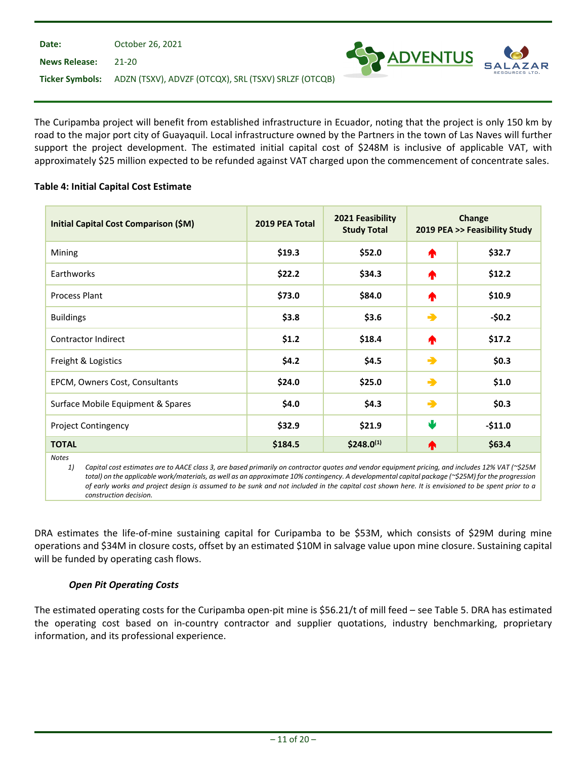| Date:                | October 26, 2021                                                     |                     |
|----------------------|----------------------------------------------------------------------|---------------------|
| <b>News Release:</b> | - 21-20                                                              | <b>SEX ADVENTUS</b> |
|                      | Ticker Symbols: ADZN (TSXV), ADVZF (OTCQX), SRL (TSXV) SRLZF (OTCQB) |                     |

The Curipamba project will benefit from established infrastructure in Ecuador, noting that the project is only 150 km by road to the major port city of Guayaquil. Local infrastructure owned by the Partners in the town of Las Naves will further support the project development. The estimated initial capital cost of \$248M is inclusive of applicable VAT, with approximately \$25 million expected to be refunded against VAT charged upon the commencement of concentrate sales.

## **Table 4: Initial Capital Cost Estimate**

| <b>Initial Capital Cost Comparison (\$M)</b>                                                                                                                          | 2019 PEA Total | 2021 Feasibility<br><b>Study Total</b> |               | Change<br>2019 PEA >> Feasibility Study |
|-----------------------------------------------------------------------------------------------------------------------------------------------------------------------|----------------|----------------------------------------|---------------|-----------------------------------------|
| Mining                                                                                                                                                                | \$19.3         | \$52.0                                 | ♠             | \$32.7                                  |
| Earthworks                                                                                                                                                            | \$22.2         | \$34.3                                 | ^             | \$12.2\$                                |
| <b>Process Plant</b>                                                                                                                                                  | \$73.0         | \$84.0                                 | ^             | \$10.9                                  |
| <b>Buildings</b>                                                                                                                                                      | \$3.8          | \$3.6                                  | →             | $-50.2$                                 |
| <b>Contractor Indirect</b>                                                                                                                                            | \$1.2          | \$18.4                                 | ♠             | \$17.2                                  |
| Freight & Logistics                                                                                                                                                   | \$4.2          | \$4.5                                  | $\rightarrow$ | \$0.3\$                                 |
| EPCM, Owners Cost, Consultants                                                                                                                                        | \$24.0         | \$25.0                                 | $\rightarrow$ | \$1.0                                   |
| Surface Mobile Equipment & Spares                                                                                                                                     | \$4.0          | \$4.3\$                                | $\rightarrow$ | \$0.3\$                                 |
| <b>Project Contingency</b>                                                                                                                                            | \$32.9         | \$21.9                                 | ψ             | $-$11.0$                                |
| <b>TOTAL</b>                                                                                                                                                          | \$184.5        | $$248.0^{(1)}$$                        | ♠             | \$63.4                                  |
| <b>Notes</b><br>1)<br>Capital cost estimates are to AACE class 3, are based primarily on contractor quotes and vendor equipment pricing, and includes 12% VAT (~\$25M |                |                                        |               |                                         |

*total) on the applicable work/materials, as well as an approximate 10% contingency. A developmental capital package (~\$25M) for the progression of early works and project design is assumed to be sunk and not included in the capital cost shown here. It is envisioned to be spent prior to a construction decision.*

DRA estimates the life-of-mine sustaining capital for Curipamba to be \$53M, which consists of \$29M during mine operations and \$34M in closure costs, offset by an estimated \$10M in salvage value upon mine closure. Sustaining capital will be funded by operating cash flows.

# *Open Pit Operating Costs*

The estimated operating costs for the Curipamba open-pit mine is \$56.21/t of mill feed – see Table 5. DRA has estimated the operating cost based on in-country contractor and supplier quotations, industry benchmarking, proprietary information, and its professional experience.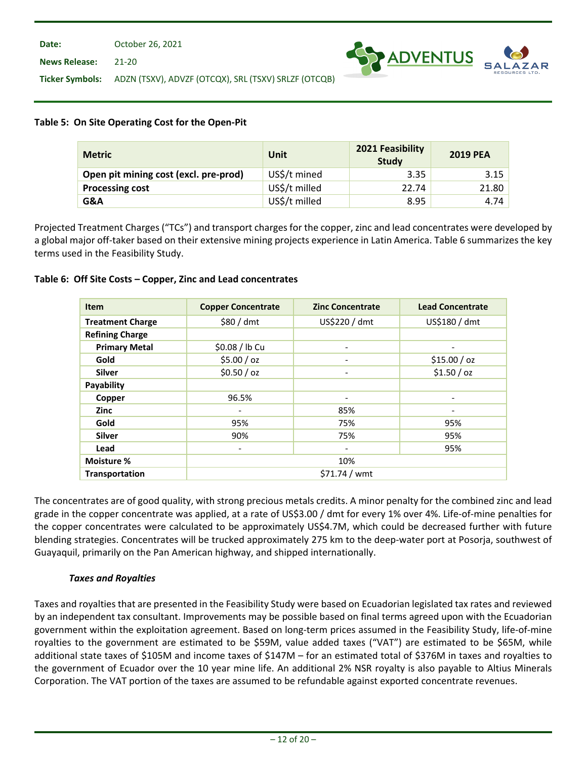**News Release:** 21-20



**Ticker Symbols:** ADZN (TSXV), ADVZF (OTCQX), SRL (TSXV) SRLZF (OTCQB)

## **Table 5: On Site Operating Cost for the Open-Pit**

| <b>Metric</b>                         | <b>Unit</b>   | 2021 Feasibility<br><b>Study</b> | <b>2019 PEA</b> |
|---------------------------------------|---------------|----------------------------------|-----------------|
| Open pit mining cost (excl. pre-prod) | US\$/t mined  | 3.35                             | 3.15            |
| <b>Processing cost</b>                | US\$/t milled | 22.74                            | 21.80           |
| G&A                                   | US\$/t milled | 8.95                             | 4.74            |

Projected Treatment Charges ("TCs") and transport charges for the copper, zinc and lead concentrates were developed by a global major off-taker based on their extensive mining projects experience in Latin America. Table 6 summarizes the key terms used in the Feasibility Study.

## **Table 6: Off Site Costs – Copper, Zinc and Lead concentrates**

| <b>Item</b>             | <b>Copper Concentrate</b>    | <b>Zinc Concentrate</b>  | <b>Lead Concentrate</b>      |  |  |  |
|-------------------------|------------------------------|--------------------------|------------------------------|--|--|--|
| <b>Treatment Charge</b> | \$80/dmt                     | US\$220 / dmt            | US\$180 / dmt                |  |  |  |
| <b>Refining Charge</b>  |                              |                          |                              |  |  |  |
| <b>Primary Metal</b>    | \$0.08 / lb Cu               | $\overline{\phantom{0}}$ | $\qquad \qquad \blacksquare$ |  |  |  |
| Gold                    | \$5.00 / oz                  |                          | \$15.00 / oz                 |  |  |  |
| <b>Silver</b>           | \$0.50 / oz                  | $\overline{\phantom{a}}$ | \$1.50 / oz                  |  |  |  |
| Payability              |                              |                          |                              |  |  |  |
| Copper                  | 96.5%                        |                          | $\overline{\phantom{0}}$     |  |  |  |
| <b>Zinc</b>             | $\overline{\phantom{a}}$     | 85%                      | $\overline{\phantom{a}}$     |  |  |  |
| Gold                    | 95%                          | 75%                      | 95%                          |  |  |  |
| <b>Silver</b>           | 90%                          | 75%                      | 95%                          |  |  |  |
| Lead                    | $\qquad \qquad \blacksquare$ | $\overline{\phantom{a}}$ | 95%                          |  |  |  |
| Moisture %              |                              | 10%                      |                              |  |  |  |
| Transportation          | $$71.74 /$ wmt               |                          |                              |  |  |  |

The concentrates are of good quality, with strong precious metals credits. A minor penalty for the combined zinc and lead grade in the copper concentrate was applied, at a rate of US\$3.00 / dmt for every 1% over 4%. Life-of-mine penalties for the copper concentrates were calculated to be approximately US\$4.7M, which could be decreased further with future blending strategies. Concentrates will be trucked approximately 275 km to the deep-water port at Posorja, southwest of Guayaquil, primarily on the Pan American highway, and shipped internationally.

## *Taxes and Royalties*

Taxes and royalties that are presented in the Feasibility Study were based on Ecuadorian legislated tax rates and reviewed by an independent tax consultant. Improvements may be possible based on final terms agreed upon with the Ecuadorian government within the exploitation agreement. Based on long-term prices assumed in the Feasibility Study, life-of-mine royalties to the government are estimated to be \$59M, value added taxes ("VAT") are estimated to be \$65M, while additional state taxes of \$105M and income taxes of \$147M – for an estimated total of \$376M in taxes and royalties to the government of Ecuador over the 10 year mine life. An additional 2% NSR royalty is also payable to Altius Minerals Corporation. The VAT portion of the taxes are assumed to be refundable against exported concentrate revenues.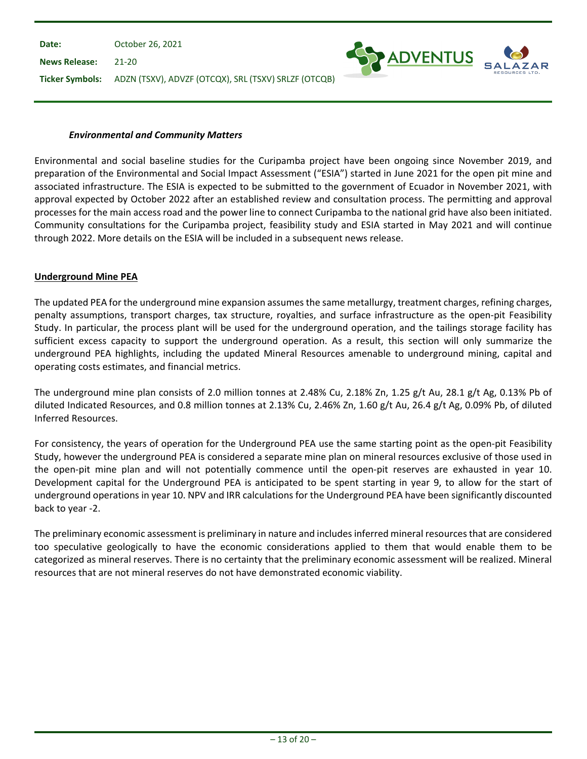**Date: News Release: Ticker Symbols:** ADZN (TSXV), ADVZF (OTCQX), SRL (TSXV) SRLZF (OTCQB) October 26, 2021 21-20

#### *Environmental and Community Matters*

Environmental and social baseline studies for the Curipamba project have been ongoing since November 2019, and preparation of the Environmental and Social Impact Assessment ("ESIA") started in June 2021 for the open pit mine and associated infrastructure. The ESIA is expected to be submitted to the government of Ecuador in November 2021, with approval expected by October 2022 after an established review and consultation process. The permitting and approval processes for the main access road and the power line to connect Curipamba to the national grid have also been initiated. Community consultations for the Curipamba project, feasibility study and ESIA started in May 2021 and will continue through 2022. More details on the ESIA will be included in a subsequent news release.

**SY ADVENTUS** 

#### **Underground Mine PEA**

The updated PEA for the underground mine expansion assumes the same metallurgy, treatment charges, refining charges, penalty assumptions, transport charges, tax structure, royalties, and surface infrastructure as the open-pit Feasibility Study. In particular, the process plant will be used for the underground operation, and the tailings storage facility has sufficient excess capacity to support the underground operation. As a result, this section will only summarize the underground PEA highlights, including the updated Mineral Resources amenable to underground mining, capital and operating costs estimates, and financial metrics.

The underground mine plan consists of 2.0 million tonnes at 2.48% Cu, 2.18% Zn, 1.25 g/t Au, 28.1 g/t Ag, 0.13% Pb of diluted Indicated Resources, and 0.8 million tonnes at 2.13% Cu, 2.46% Zn, 1.60 g/t Au, 26.4 g/t Ag, 0.09% Pb, of diluted Inferred Resources.

For consistency, the years of operation for the Underground PEA use the same starting point as the open-pit Feasibility Study, however the underground PEA is considered a separate mine plan on mineral resources exclusive of those used in the open-pit mine plan and will not potentially commence until the open-pit reserves are exhausted in year 10. Development capital for the Underground PEA is anticipated to be spent starting in year 9, to allow for the start of underground operations in year 10. NPV and IRR calculations for the Underground PEA have been significantly discounted back to year -2.

The preliminary economic assessment is preliminary in nature and includes inferred mineral resources that are considered too speculative geologically to have the economic considerations applied to them that would enable them to be categorized as mineral reserves. There is no certainty that the preliminary economic assessment will be realized. Mineral resources that are not mineral reserves do not have demonstrated economic viability.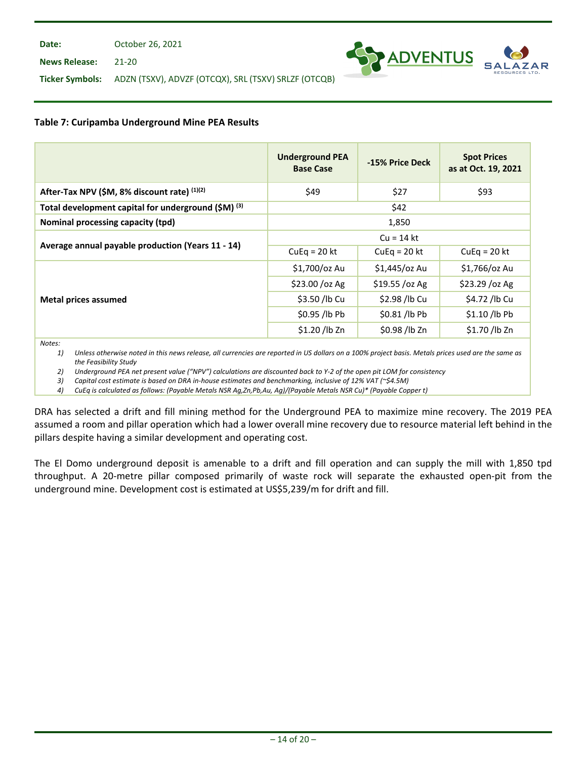**News Release:** 21-20



**Ticker Symbols:** ADZN (TSXV), ADVZF (OTCQX), SRL (TSXV) SRLZF (OTCQB)

## **Table 7: Curipamba Underground Mine PEA Results**

|                                                                | <b>Underground PEA</b><br><b>Base Case</b> | -15% Price Deck | <b>Spot Prices</b><br>as at Oct. 19, 2021 |
|----------------------------------------------------------------|--------------------------------------------|-----------------|-------------------------------------------|
| After-Tax NPV (\$M, 8% discount rate) (1)(2)                   | \$49                                       | \$27            | \$93                                      |
| Total development capital for underground (\$M) <sup>(3)</sup> | \$42                                       |                 |                                           |
| Nominal processing capacity (tpd)                              | 1,850                                      |                 |                                           |
|                                                                | $Cu = 14$ kt                               |                 |                                           |
| Average annual payable production (Years 11 - 14)              | $CuEq = 20 kt$                             | $CuEq = 20 kt$  | $CuEq = 20 kt$                            |
|                                                                | \$1,700/oz Au                              | \$1,445/oz Au   | \$1,766/oz Au                             |
|                                                                | \$23.00 / oz Ag                            | \$19.55 /oz Ag  | \$23.29 / oz Ag                           |
| <b>Metal prices assumed</b>                                    | \$3.50 /lb Cu                              | \$2.98 /lb Cu   | \$4.72 /lb Cu                             |
|                                                                | \$0.95 /lb Pb                              | \$0.81 /lb Pb   | \$1.10 /lb Pb                             |
|                                                                | \$1.20 /lb Zn                              | \$0.98 /lb Zn   | \$1.70 /lb Zn                             |

*Notes:*

*1) Unless otherwise noted in this news release, all currencies are reported in US dollars on a 100% project basis. Metals prices used are the same as the Feasibility Study*

*2) Underground PEA net present value ("NPV") calculations are discounted back to Y-2 of the open pit LOM for consistency* 

*3) Capital cost estimate is based on DRA in-house estimates and benchmarking, inclusive of 12% VAT (~\$4.5M)*

*4) CuEq is calculated as follows: (Payable Metals NSR Ag,Zn,Pb,Au, Ag)/(Payable Metals NSR Cu)\* (Payable Copper t)*

DRA has selected a drift and fill mining method for the Underground PEA to maximize mine recovery. The 2019 PEA assumed a room and pillar operation which had a lower overall mine recovery due to resource material left behind in the pillars despite having a similar development and operating cost.

The El Domo underground deposit is amenable to a drift and fill operation and can supply the mill with 1,850 tpd throughput. A 20-metre pillar composed primarily of waste rock will separate the exhausted open-pit from the underground mine. Development cost is estimated at US\$5,239/m for drift and fill.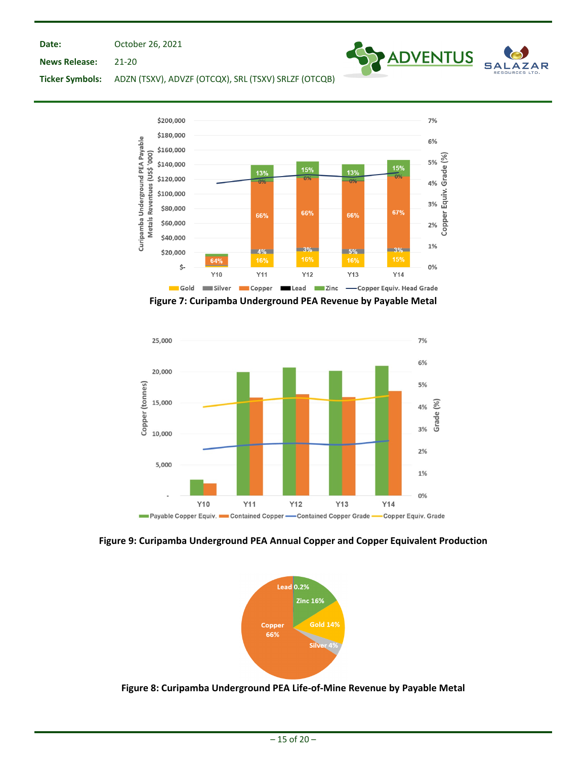October 26, 2021



**News Release:** 21-20

**Ticker Symbols:** ADZN (TSXV), ADVZF (OTCQX), SRL (TSXV) SRLZF (OTCQB)



**Figure 7: Curipamba Underground PEA Revenue by Payable Metal**



**Figure 9: Curipamba Underground PEA Annual Copper and Copper Equivalent Production**



**Figure 8: Curipamba Underground PEA Life-of-Mine Revenue by Payable Metal**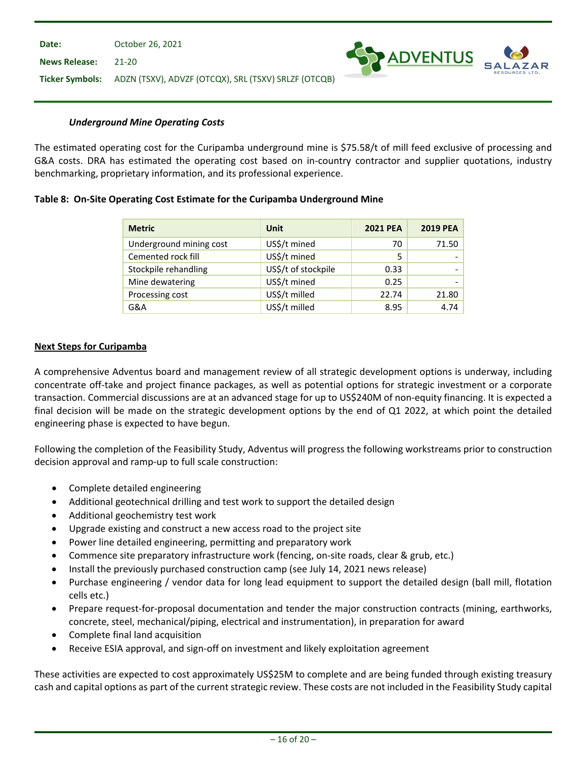

#### *Underground Mine Operating Costs*

The estimated operating cost for the Curipamba underground mine is \$75.58/t of mill feed exclusive of processing and G&A costs. DRA has estimated the operating cost based on in-country contractor and supplier quotations, industry benchmarking, proprietary information, and its professional experience.

#### **Table 8: On-Site Operating Cost Estimate for the Curipamba Underground Mine**

| <b>Metric</b>           | Unit                | <b>2021 PEA</b> | 2019 PEA |
|-------------------------|---------------------|-----------------|----------|
| Underground mining cost | US\$/t mined        | 70              | 71.50    |
| Cemented rock fill      | US\$/t mined        | 5               |          |
| Stockpile rehandling    | US\$/t of stockpile | 0.33            |          |
| Mine dewatering         | US\$/t mined        | 0.25            |          |
| Processing cost         | US\$/t milled       | 22.74           | 21.80    |
| G&A                     | US\$/t milled       | 8.95            | 4.74     |

## **Next Steps for Curipamba**

A comprehensive Adventus board and management review of all strategic development options is underway, including concentrate off-take and project finance packages, as well as potential options for strategic investment or a corporate transaction. Commercial discussions are at an advanced stage for up to US\$240M of non-equity financing. It is expected a final decision will be made on the strategic development options by the end of Q1 2022, at which point the detailed engineering phase is expected to have begun.

Following the completion of the Feasibility Study, Adventus will progress the following workstreams prior to construction decision approval and ramp-up to full scale construction:

- Complete detailed engineering
- Additional geotechnical drilling and test work to support the detailed design
- Additional geochemistry test work
- Upgrade existing and construct a new access road to the project site
- Power line detailed engineering, permitting and preparatory work
- Commence site preparatory infrastructure work (fencing, on-site roads, clear & grub, etc.)
- Install the previously purchased construction camp (see July 14, 2021 news release)
- Purchase engineering / vendor data for long lead equipment to support the detailed design (ball mill, flotation cells etc.)
- Prepare request-for-proposal documentation and tender the major construction contracts (mining, earthworks, concrete, steel, mechanical/piping, electrical and instrumentation), in preparation for award
- Complete final land acquisition
- Receive ESIA approval, and sign-off on investment and likely exploitation agreement

These activities are expected to cost approximately US\$25M to complete and are being funded through existing treasury cash and capital options as part of the current strategic review. These costs are not included in the Feasibility Study capital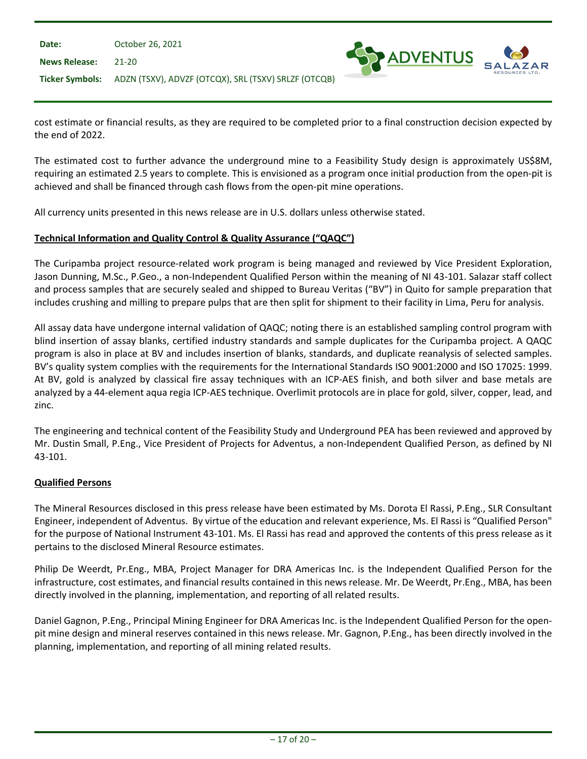| Date:                | October 26, 2021                                                     |  |
|----------------------|----------------------------------------------------------------------|--|
| <b>News Release:</b> | 21-20                                                                |  |
|                      | Ticker Symbols: ADZN (TSXV), ADVZF (OTCQX), SRL (TSXV) SRLZF (OTCQB) |  |

cost estimate or financial results, as they are required to be completed prior to a final construction decision expected by the end of 2022.

ADVENTUS

The estimated cost to further advance the underground mine to a Feasibility Study design is approximately US\$8M, requiring an estimated 2.5 years to complete. This is envisioned as a program once initial production from the open-pit is achieved and shall be financed through cash flows from the open-pit mine operations.

All currency units presented in this news release are in U.S. dollars unless otherwise stated.

## **Technical Information and Quality Control & Quality Assurance ("QAQC")**

The Curipamba project resource-related work program is being managed and reviewed by Vice President Exploration, Jason Dunning, M.Sc., P.Geo., a non-Independent Qualified Person within the meaning of NI 43-101. Salazar staff collect and process samples that are securely sealed and shipped to Bureau Veritas ("BV") in Quito for sample preparation that includes crushing and milling to prepare pulps that are then split for shipment to their facility in Lima, Peru for analysis.

All assay data have undergone internal validation of QAQC; noting there is an established sampling control program with blind insertion of assay blanks, certified industry standards and sample duplicates for the Curipamba project. A QAQC program is also in place at BV and includes insertion of blanks, standards, and duplicate reanalysis of selected samples. BV's quality system complies with the requirements for the International Standards ISO 9001:2000 and ISO 17025: 1999. At BV, gold is analyzed by classical fire assay techniques with an ICP-AES finish, and both silver and base metals are analyzed by a 44-element aqua regia ICP-AES technique. Overlimit protocols are in place for gold, silver, copper, lead, and zinc.

The engineering and technical content of the Feasibility Study and Underground PEA has been reviewed and approved by Mr. Dustin Small, P.Eng., Vice President of Projects for Adventus, a non-Independent Qualified Person, as defined by NI 43-101.

## **Qualified Persons**

The Mineral Resources disclosed in this press release have been estimated by Ms. Dorota El Rassi, P.Eng., SLR Consultant Engineer, independent of Adventus. By virtue of the education and relevant experience, Ms. El Rassi is "Qualified Person" for the purpose of National Instrument 43-101. Ms. El Rassi has read and approved the contents of this press release as it pertains to the disclosed Mineral Resource estimates.

Philip De Weerdt, Pr.Eng., MBA, Project Manager for DRA Americas Inc. is the Independent Qualified Person for the infrastructure, cost estimates, and financial results contained in this news release. Mr. De Weerdt, Pr.Eng., MBA, has been directly involved in the planning, implementation, and reporting of all related results.

Daniel Gagnon, P.Eng., Principal Mining Engineer for DRA Americas Inc. is the Independent Qualified Person for the openpit mine design and mineral reserves contained in this news release. Mr. Gagnon, P.Eng., has been directly involved in the planning, implementation, and reporting of all mining related results.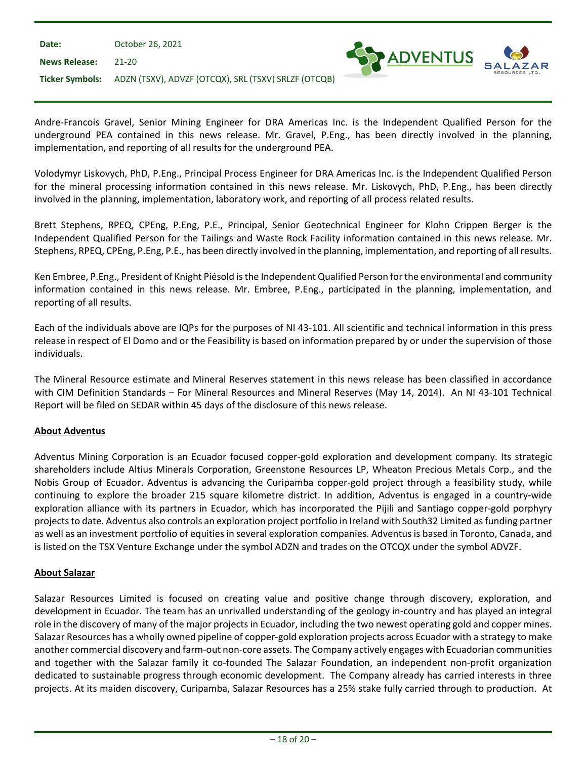| Date:                | October 26, 2021                                                     |  |
|----------------------|----------------------------------------------------------------------|--|
| <b>News Release:</b> | - 21-20                                                              |  |
|                      | Ticker Symbols: ADZN (TSXV), ADVZF (OTCQX), SRL (TSXV) SRLZF (OTCQB) |  |

Andre-Francois Gravel, Senior Mining Engineer for DRA Americas Inc. is the Independent Qualified Person for the underground PEA contained in this news release. Mr. Gravel, P.Eng., has been directly involved in the planning, implementation, and reporting of all results for the underground PEA.

ADVENTUS

Volodymyr Liskovych, PhD, P.Eng., Principal Process Engineer for DRA Americas Inc. is the Independent Qualified Person for the mineral processing information contained in this news release. Mr. Liskovych, PhD, P.Eng., has been directly involved in the planning, implementation, laboratory work, and reporting of all process related results.

Brett Stephens, RPEQ, CPEng, P.Eng, P.E., Principal, Senior Geotechnical Engineer for Klohn Crippen Berger is the Independent Qualified Person for the Tailings and Waste Rock Facility information contained in this news release. Mr. Stephens, RPEQ, CPEng, P.Eng, P.E., has been directly involved in the planning, implementation, and reporting of all results.

Ken Embree, P.Eng., President of Knight Piésold is the Independent Qualified Person for the environmental and community information contained in this news release. Mr. Embree, P.Eng., participated in the planning, implementation, and reporting of all results.

Each of the individuals above are IQPs for the purposes of NI 43-101. All scientific and technical information in this press release in respect of El Domo and or the Feasibility is based on information prepared by or under the supervision of those individuals.

The Mineral Resource estimate and Mineral Reserves statement in this news release has been classified in accordance with CIM Definition Standards – For Mineral Resources and Mineral Reserves (May 14, 2014). An NI 43-101 Technical Report will be filed on SEDAR within 45 days of the disclosure of this news release.

# **About Adventus**

Adventus Mining Corporation is an Ecuador focused copper-gold exploration and development company. Its strategic shareholders include Altius Minerals Corporation, Greenstone Resources LP, Wheaton Precious Metals Corp., and the Nobis Group of Ecuador. Adventus is advancing the Curipamba copper-gold project through a feasibility study, while continuing to explore the broader 215 square kilometre district. In addition, Adventus is engaged in a country-wide exploration alliance with its partners in Ecuador, which has incorporated the Pijili and Santiago copper-gold porphyry projects to date. Adventus also controls an exploration project portfolio in Ireland with South32 Limited as funding partner as well as an investment portfolio of equities in several exploration companies. Adventus is based in Toronto, Canada, and is listed on the TSX Venture Exchange under the symbol ADZN and trades on the OTCQX under the symbol ADVZF.

## **About Salazar**

Salazar Resources Limited is focused on creating value and positive change through discovery, exploration, and development in Ecuador. The team has an unrivalled understanding of the geology in-country and has played an integral role in the discovery of many of the major projects in Ecuador, including the two newest operating gold and copper mines. Salazar Resources has a wholly owned pipeline of copper-gold exploration projects across Ecuador with a strategy to make another commercial discovery and farm-out non-core assets. The Company actively engages with Ecuadorian communities and together with the Salazar family it co-founded The Salazar Foundation, an independent non-profit organization dedicated to sustainable progress through economic development. The Company already has carried interests in three projects. At its maiden discovery, Curipamba, Salazar Resources has a 25% stake fully carried through to production. At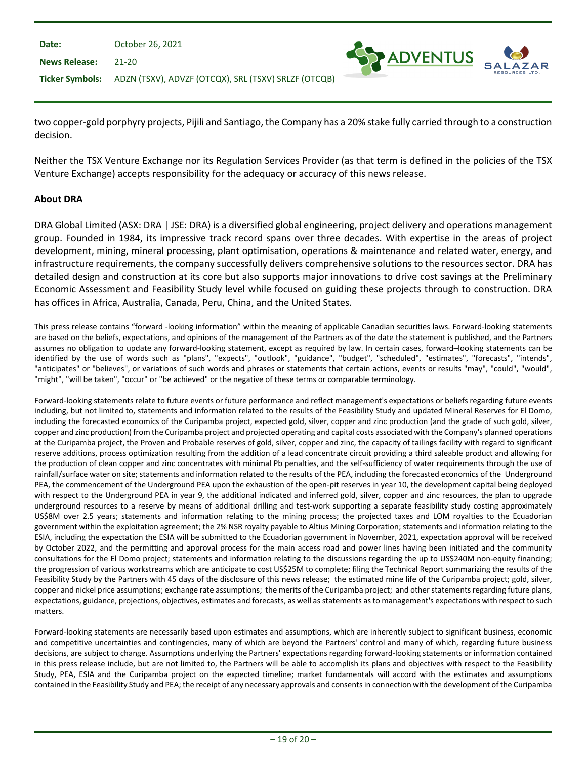| Date:                | October 26, 2021                                                     |  |
|----------------------|----------------------------------------------------------------------|--|
| <b>News Release:</b> | $21-20$                                                              |  |
|                      | Ticker Symbols: ADZN (TSXV), ADVZF (OTCQX), SRL (TSXV) SRLZF (OTCQB) |  |

two copper-gold porphyry projects, Pijili and Santiago, the Company has a 20% stake fully carried through to a construction decision.

ADVENTUS

Neither the TSX Venture Exchange nor its Regulation Services Provider (as that term is defined in the policies of the TSX Venture Exchange) accepts responsibility for the adequacy or accuracy of this news release.

#### **About DRA**

DRA Global Limited (ASX: DRA | JSE: DRA) is a diversified global engineering, project delivery and operations management group. Founded in 1984, its impressive track record spans over three decades. With expertise in the areas of project development, mining, mineral processing, plant optimisation, operations & maintenance and related water, energy, and infrastructure requirements, the company successfully delivers comprehensive solutions to the resources sector. DRA has detailed design and construction at its core but also supports major innovations to drive cost savings at the Preliminary Economic Assessment and Feasibility Study level while focused on guiding these projects through to construction. DRA has offices in Africa, Australia, Canada, Peru, China, and the United States.

This press release contains "forward -looking information" within the meaning of applicable Canadian securities laws. Forward-looking statements are based on the beliefs, expectations, and opinions of the management of the Partners as of the date the statement is published, and the Partners assumes no obligation to update any forward-looking statement, except as required by law. In certain cases, forward–looking statements can be identified by the use of words such as "plans", "expects", "outlook", "guidance", "budget", "scheduled", "estimates", "forecasts", "intends", "anticipates" or "believes", or variations of such words and phrases or statements that certain actions, events or results "may", "could", "would", "might", "will be taken", "occur" or "be achieved" or the negative of these terms or comparable terminology.

Forward-looking statements relate to future events or future performance and reflect management's expectations or beliefs regarding future events including, but not limited to, statements and information related to the results of the Feasibility Study and updated Mineral Reserves for El Domo, including the forecasted economics of the Curipamba project, expected gold, silver, copper and zinc production (and the grade of such gold, silver, copper and zinc production) from the Curipamba project and projected operating and capital costs associated with the Company's planned operations at the Curipamba project, the Proven and Probable reserves of gold, silver, copper and zinc, the capacity of tailings facility with regard to significant reserve additions, process optimization resulting from the addition of a lead concentrate circuit providing a third saleable product and allowing for the production of clean copper and zinc concentrates with minimal Pb penalties, and the self-sufficiency of water requirements through the use of rainfall/surface water on site; statements and information related to the results of the PEA, including the forecasted economics of the Underground PEA, the commencement of the Underground PEA upon the exhaustion of the open-pit reserves in year 10, the development capital being deployed with respect to the Underground PEA in year 9, the additional indicated and inferred gold, silver, copper and zinc resources, the plan to upgrade underground resources to a reserve by means of additional drilling and test-work supporting a separate feasibility study costing approximately US\$8M over 2.5 years; statements and information relating to the mining process; the projected taxes and LOM royalties to the Ecuadorian government within the exploitation agreement; the 2% NSR royalty payable to Altius Mining Corporation; statements and information relating to the ESIA, including the expectation the ESIA will be submitted to the Ecuadorian government in November, 2021, expectation approval will be received by October 2022, and the permitting and approval process for the main access road and power lines having been initiated and the community consultations for the El Domo project; statements and information relating to the discussions regarding the up to US\$240M non-equity financing; the progression of various workstreams which are anticipate to cost US\$25M to complete; filing the Technical Report summarizing the results of the Feasibility Study by the Partners with 45 days of the disclosure of this news release; the estimated mine life of the Curipamba project; gold, silver, copper and nickel price assumptions; exchange rate assumptions; the merits of the Curipamba project; and other statements regarding future plans, expectations, guidance, projections, objectives, estimates and forecasts, as well as statements as to management's expectations with respect to such matters.

Forward-looking statements are necessarily based upon estimates and assumptions, which are inherently subject to significant business, economic and competitive uncertainties and contingencies, many of which are beyond the Partners' control and many of which, regarding future business decisions, are subject to change. Assumptions underlying the Partners' expectations regarding forward-looking statements or information contained in this press release include, but are not limited to, the Partners will be able to accomplish its plans and objectives with respect to the Feasibility Study, PEA, ESIA and the Curipamba project on the expected timeline; market fundamentals will accord with the estimates and assumptions contained in the Feasibility Study and PEA; the receipt of any necessary approvals and consents in connection with the development of the Curipamba